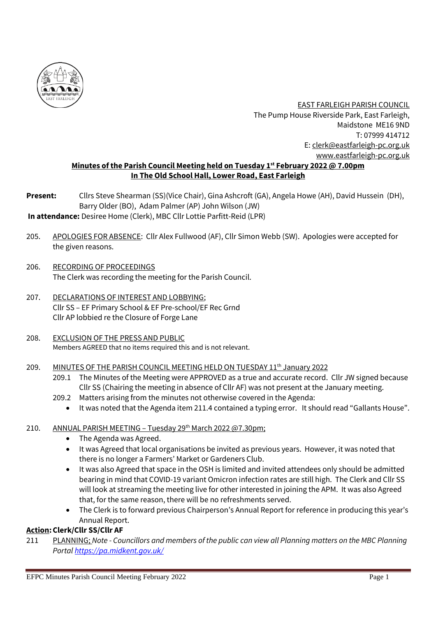

 EAST FARLEIGH PARISH COUNCIL The Pump House Riverside Park, East Farleigh, Maidstone ME16 9ND T: 07999 414712 E: [clerk@eastfarleigh-pc.org.uk](mailto:clerk@eastfarleigh-pc.org.uk) www.eastfarleigh-pc.org.uk

## **Minutes of the Parish Council Meeting held on Tuesday 1 st February 2022 @ 7.00pm In The Old School Hall, Lower Road, East Farleigh**

- **Present:** Cllrs Steve Shearman (SS)(Vice Chair), Gina Ashcroft (GA), Angela Howe (AH), David Hussein (DH), Barry Older (BO), Adam Palmer (AP) John Wilson (JW) **In attendance:** Desiree Home (Clerk), MBC Cllr Lottie Parfitt-Reid (LPR)
- 205. APOLOGIES FOR ABSENCE: Cllr Alex Fullwood (AF), Cllr Simon Webb (SW). Apologies were accepted for the given reasons.
- 206. RECORDING OF PROCEEDINGS The Clerk was recording the meeting for the Parish Council.
- 207. DECLARATIONS OF INTEREST AND LOBBYING; Cllr SS – EF Primary School & EF Pre-school/EF Rec Grnd Cllr AP lobbied re the Closure of Forge Lane
- 208. EXCLUSION OF THE PRESS AND PUBLIC Members AGREED that no items required this and is not relevant.
- 209. MINUTES OF THE PARISH COUNCIL MEETING HELD ON TUESDAY 11<sup>th</sup> January 2022
	- 209.1 The Minutes of the Meeting were APPROVED as a true and accurate record. Cllr JW signed because Cllr SS (Chairing the meeting in absence of Cllr AF) was not present at the January meeting.
	- 209.2 Matters arising from the minutes not otherwise covered in the Agenda:
		- It was noted that the Agenda item 211.4 contained a typing error. It should read "Gallants House".

### 210. ANNUAL PARISH MEETING - Tuesday 29<sup>th</sup> March 2022 @7.30pm;

- The Agenda was Agreed.
- It was Agreed that local organisations be invited as previous years. However, it was noted that there is no longer a Farmers' Market or Gardeners Club.
- It was also Agreed that space in the OSH is limited and invited attendees only should be admitted bearing in mind that COVID-19 variant Omicron infection rates are still high. The Clerk and Cllr SS will look at streaming the meeting live for other interested in joining the APM. It was also Agreed that, for the same reason, there will be no refreshments served.
- The Clerk is to forward previous Chairperson's Annual Report for reference in producing this year's Annual Report.

### **Action: Clerk/Cllr SS/Cllr AF**

211 PLANNING; *Note - Councillors and members of the public can view all Planning matters on the MBC Planning Portal<https://pa.midkent.gov.uk/>*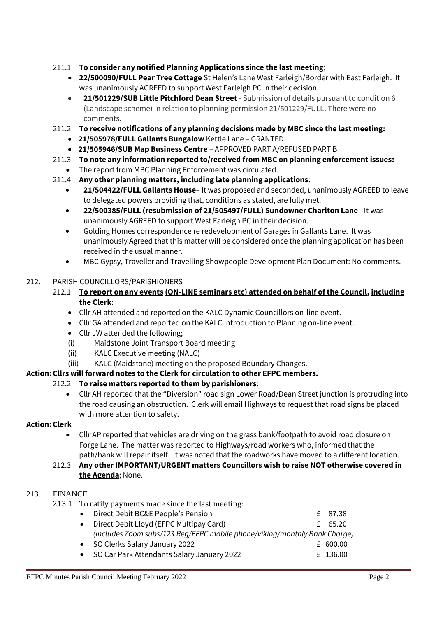# 211.1 **To consider any notified Planning Applications since the last meeting**;

- **22/500090/FULL Pear Tree Cottage** St Helen's Lane West Farleigh/Border with East Farleigh. It was unanimously AGREED to support West Farleigh PC in their decision.
- **21/501229/SUB Little Pitchford Dean Street** Submission of details pursuant to condition 6 (Landscape scheme) in relation to planning permission 21/501229/FULL. There were no comments.

# 211.2 **To receive notifications of any planning decisions made by MBC since the last meeting:**

- **21/505978/FULL Gallants Bungalow** Kettle Lane GRANTED
- **21/505946/SUB Map Business Centre** APPROVED PART A/REFUSED PART B
- 211.3 **To note any information reported to/received from MBC on planning enforcement issues:**
	- The report from MBC Planning Enforcement was circulated.

## 211.4 **Any other planning matters, including late planning applications**:

- **21/504422/FULL Gallants House** It was proposed and seconded, unanimously AGREED to leave to delegated powers providing that, conditions as stated, are fully met.
- **22/500385/FULL (resubmission of 21/505497/FULL) Sundowner Charlton Lane**  It was unanimously AGREED to support West Farleigh PC in their decision.
- Golding Homes correspondence re redevelopment of Garages in Gallants Lane. It was unanimously Agreed that this matter will be considered once the planning application has been received in the usual manner.
- MBC Gypsy, Traveller and Travelling Showpeople Development Plan Document: No comments.

### 212. PARISH COUNCILLORS/PARISHIONERS

- 212.1 **To report on any events (ON-LINE seminars etc) attended on behalf of the Council, including the Clerk**:
	- Cllr AH attended and reported on the KALC Dynamic Councillors on-line event.
	- Cllr GA attended and reported on the KALC Introduction to Planning on-line event.
	- Cllr JW attended the following;
	- (i) Maidstone Joint Transport Board meeting
	- (ii) KALC Executive meeting (NALC)
	- (iii) KALC (Maidstone) meeting on the proposed Boundary Changes.

### **Action:Cllrs will forward notes to the Clerk for circulation to other EFPC members.**

# 212.2 **To raise matters reported to them by parishioners**:

• Cllr AH reported that the "Diversion" road sign Lower Road/Dean Street junction is protruding into the road causing an obstruction. Clerk will email Highways to request that road signs be placed with more attention to safety.

### **Action:Clerk**

• Cllr AP reported that vehicles are driving on the grass bank/footpath to avoid road closure on Forge Lane. The matter was reported to Highways/road workers who, informed that the path/bank will repair itself. It was noted that the roadworks have moved to a different location.

### 212.3 **Any other IMPORTANT/URGENT matters Councillors wish to raise NOT otherwise covered in the Agenda**; None.

### 213. FINANCE

- 213.1 To ratify payments made since the last meeting:
	- **Direct Debit BC&E People's Pension**   $f$  87.38 • Direct Debit Lloyd (EFPC Multipay Card) £ 65.20 *(includes Zoom subs/123.Reg/EFPC mobile phone/viking/monthly Bank Charge)* • SO Clerks Salary January 2022 £ 600.00
	- SO Car Park Attendants Salary January 2022 £ 136.00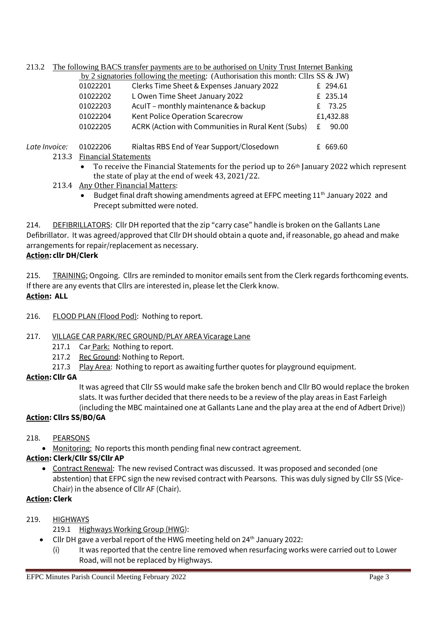| 213.2         |                                                                                                           | The following BACS transfer payments are to be authorised on Unity Trust Internet Banking |            |  |
|---------------|-----------------------------------------------------------------------------------------------------------|-------------------------------------------------------------------------------------------|------------|--|
|               |                                                                                                           | by 2 signatories following the meeting: (Authorisation this month: Cllrs SS & JW)         |            |  |
|               | 01022201                                                                                                  | Clerks Time Sheet & Expenses January 2022                                                 | £ 294.61   |  |
|               | 01022202                                                                                                  | L Owen Time Sheet January 2022                                                            | £ 235.14   |  |
|               | 01022203                                                                                                  | AculT - monthly maintenance & backup                                                      | 73.25<br>£ |  |
|               | 01022204                                                                                                  | Kent Police Operation Scarecrow                                                           | £1,432.88  |  |
|               | 01022205                                                                                                  | ACRK (Action with Communities in Rural Kent (Subs)                                        | 90.00<br>£ |  |
| Late Invoice: | 01022206                                                                                                  | Rialtas RBS End of Year Support/Closedown                                                 | £ 669.60   |  |
| 213.3         | <b>Financial Statements</b>                                                                               |                                                                                           |            |  |
|               | To receive the Financial Statements for the period up to $26th$ January 2022 which represent<br>$\bullet$ |                                                                                           |            |  |
|               |                                                                                                           | the state of play at the end of week 43, 2021/22.                                         |            |  |

- 213.4 Any Other Financial Matters:
	- Budget final draft showing amendments agreed at EFPC meeting  $11<sup>th</sup>$  January 2022 and Precept submitted were noted.

214. DEFIBRILLATORS: Cllr DH reported that the zip "carry case" handle is broken on the Gallants Lane Defibrillator. It was agreed/approved that Cllr DH should obtain a quote and, if reasonable, go ahead and make arrangements for repair/replacement as necessary. **Action: cllr DH/Clerk**

215. TRAINING; Ongoing. Cllrs are reminded to monitor emails sent from the Clerk regards forthcoming events. If there are any events that Cllrs are interested in, please let the Clerk know. **Action: ALL**

- 216. FLOOD PLAN (Flood Pod): Nothing to report.
- 217. VILLAGE CAR PARK/REC GROUND/PLAY AREA Vicarage Lane
	- 217.1 Car Park: Nothing to report.
	- 217.2 Rec Ground: Nothing to Report.
	- 217.3 Play Area: Nothing to report as awaiting further quotes for playground equipment.

### **Action:Cllr GA**

It was agreed that Cllr SS would make safe the broken bench and Cllr BO would replace the broken slats. It was further decided that there needs to be a review of the play areas in East Farleigh (including the MBC maintained one at Gallants Lane and the play area at the end of Adbert Drive))

### **Action: Cllrs SS/BO/GA**

### 218. PEARSONS

• Monitoring: No reports this month pending final new contract agreement.

### **Action: Clerk/Cllr SS/Cllr AP**

• Contract Renewal: The new revised Contract was discussed. It was proposed and seconded (one abstention) that EFPC sign the new revised contract with Pearsons. This was duly signed by Cllr SS (Vice-Chair) in the absence of Cllr AF (Chair).

### **Action: Clerk**

- 219. HIGHWAYS
	- 219.1 Highways Working Group (HWG):
	- Cllr DH gave a verbal report of the HWG meeting held on 24<sup>th</sup> January 2022:
		- (i) It was reported that the centre line removed when resurfacing works were carried out to Lower Road, will not be replaced by Highways.